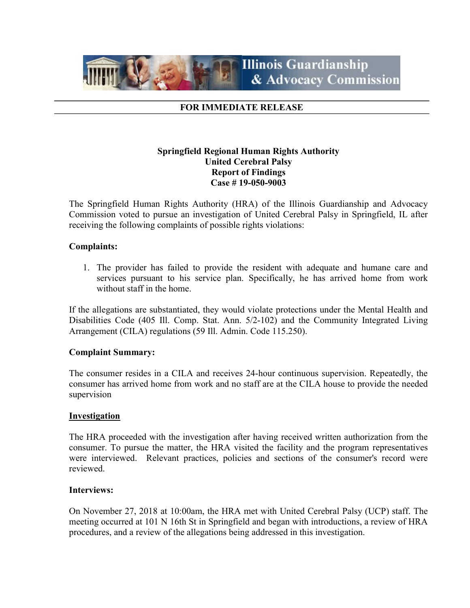

#### FOR IMMEDIATE RELEASE

### Springfield Regional Human Rights Authority United Cerebral Palsy Report of Findings Case # 19-050-9003

The Springfield Human Rights Authority (HRA) of the Illinois Guardianship and Advocacy Commission voted to pursue an investigation of United Cerebral Palsy in Springfield, IL after receiving the following complaints of possible rights violations:

#### Complaints:

1. The provider has failed to provide the resident with adequate and humane care and services pursuant to his service plan. Specifically, he has arrived home from work without staff in the home.

If the allegations are substantiated, they would violate protections under the Mental Health and Disabilities Code (405 Ill. Comp. Stat. Ann. 5/2-102) and the Community Integrated Living Arrangement (CILA) regulations (59 Ill. Admin. Code 115.250).

#### Complaint Summary:

The consumer resides in a CILA and receives 24-hour continuous supervision. Repeatedly, the consumer has arrived home from work and no staff are at the CILA house to provide the needed supervision

#### **Investigation**

The HRA proceeded with the investigation after having received written authorization from the consumer. To pursue the matter, the HRA visited the facility and the program representatives were interviewed. Relevant practices, policies and sections of the consumer's record were reviewed.

#### Interviews:

On November 27, 2018 at 10:00am, the HRA met with United Cerebral Palsy (UCP) staff. The meeting occurred at 101 N 16th St in Springfield and began with introductions, a review of HRA procedures, and a review of the allegations being addressed in this investigation.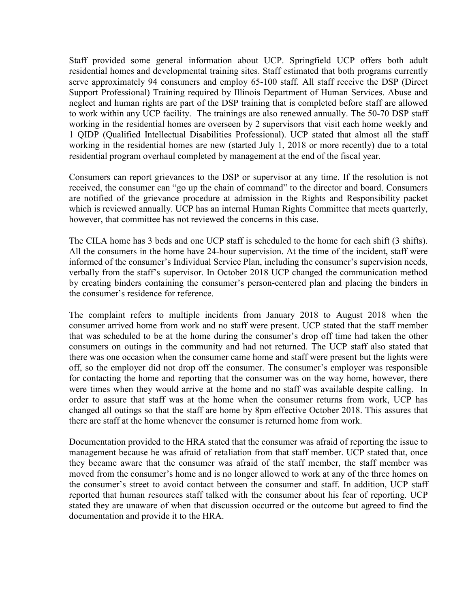Staff provided some general information about UCP. Springfield UCP offers both adult residential homes and developmental training sites. Staff estimated that both programs currently serve approximately 94 consumers and employ 65-100 staff. All staff receive the DSP (Direct Support Professional) Training required by Illinois Department of Human Services. Abuse and neglect and human rights are part of the DSP training that is completed before staff are allowed to work within any UCP facility. The trainings are also renewed annually. The 50-70 DSP staff working in the residential homes are overseen by 2 supervisors that visit each home weekly and 1 QIDP (Qualified Intellectual Disabilities Professional). UCP stated that almost all the staff working in the residential homes are new (started July 1, 2018 or more recently) due to a total residential program overhaul completed by management at the end of the fiscal year.

Consumers can report grievances to the DSP or supervisor at any time. If the resolution is not received, the consumer can "go up the chain of command" to the director and board. Consumers are notified of the grievance procedure at admission in the Rights and Responsibility packet which is reviewed annually. UCP has an internal Human Rights Committee that meets quarterly, however, that committee has not reviewed the concerns in this case.

The CILA home has 3 beds and one UCP staff is scheduled to the home for each shift (3 shifts). All the consumers in the home have 24-hour supervision. At the time of the incident, staff were informed of the consumer's Individual Service Plan, including the consumer's supervision needs, verbally from the staff's supervisor. In October 2018 UCP changed the communication method by creating binders containing the consumer's person-centered plan and placing the binders in the consumer's residence for reference.

The complaint refers to multiple incidents from January 2018 to August 2018 when the consumer arrived home from work and no staff were present. UCP stated that the staff member that was scheduled to be at the home during the consumer's drop off time had taken the other consumers on outings in the community and had not returned. The UCP staff also stated that there was one occasion when the consumer came home and staff were present but the lights were off, so the employer did not drop off the consumer. The consumer's employer was responsible for contacting the home and reporting that the consumer was on the way home, however, there were times when they would arrive at the home and no staff was available despite calling. In order to assure that staff was at the home when the consumer returns from work, UCP has changed all outings so that the staff are home by 8pm effective October 2018. This assures that there are staff at the home whenever the consumer is returned home from work.

Documentation provided to the HRA stated that the consumer was afraid of reporting the issue to management because he was afraid of retaliation from that staff member. UCP stated that, once they became aware that the consumer was afraid of the staff member, the staff member was moved from the consumer's home and is no longer allowed to work at any of the three homes on the consumer's street to avoid contact between the consumer and staff. In addition, UCP staff reported that human resources staff talked with the consumer about his fear of reporting. UCP stated they are unaware of when that discussion occurred or the outcome but agreed to find the documentation and provide it to the HRA.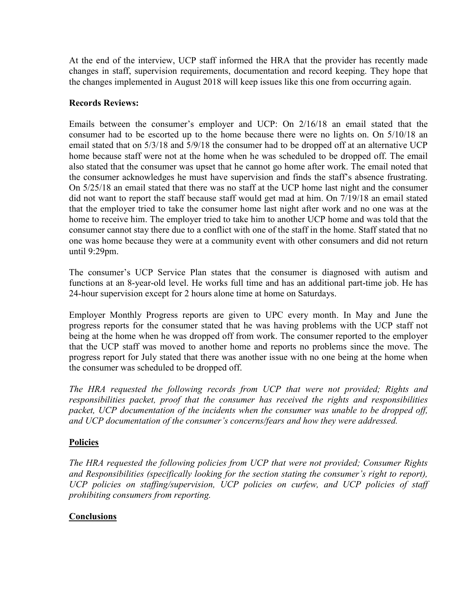At the end of the interview, UCP staff informed the HRA that the provider has recently made changes in staff, supervision requirements, documentation and record keeping. They hope that the changes implemented in August 2018 will keep issues like this one from occurring again.

## Records Reviews:

Emails between the consumer's employer and UCP: On 2/16/18 an email stated that the consumer had to be escorted up to the home because there were no lights on. On 5/10/18 an email stated that on 5/3/18 and 5/9/18 the consumer had to be dropped off at an alternative UCP home because staff were not at the home when he was scheduled to be dropped off. The email also stated that the consumer was upset that he cannot go home after work. The email noted that the consumer acknowledges he must have supervision and finds the staff's absence frustrating. On 5/25/18 an email stated that there was no staff at the UCP home last night and the consumer did not want to report the staff because staff would get mad at him. On 7/19/18 an email stated that the employer tried to take the consumer home last night after work and no one was at the home to receive him. The employer tried to take him to another UCP home and was told that the consumer cannot stay there due to a conflict with one of the staff in the home. Staff stated that no one was home because they were at a community event with other consumers and did not return until 9:29pm.

The consumer's UCP Service Plan states that the consumer is diagnosed with autism and functions at an 8-year-old level. He works full time and has an additional part-time job. He has 24-hour supervision except for 2 hours alone time at home on Saturdays.

Employer Monthly Progress reports are given to UPC every month. In May and June the progress reports for the consumer stated that he was having problems with the UCP staff not being at the home when he was dropped off from work. The consumer reported to the employer that the UCP staff was moved to another home and reports no problems since the move. The progress report for July stated that there was another issue with no one being at the home when the consumer was scheduled to be dropped off.

The HRA requested the following records from UCP that were not provided; Rights and responsibilities packet, proof that the consumer has received the rights and responsibilities packet, UCP documentation of the incidents when the consumer was unable to be dropped off, and UCP documentation of the consumer's concerns/fears and how they were addressed.

# **Policies**

The HRA requested the following policies from UCP that were not provided; Consumer Rights and Responsibilities (specifically looking for the section stating the consumer's right to report), UCP policies on staffing/supervision, UCP policies on curfew, and UCP policies of staff prohibiting consumers from reporting.

# **Conclusions**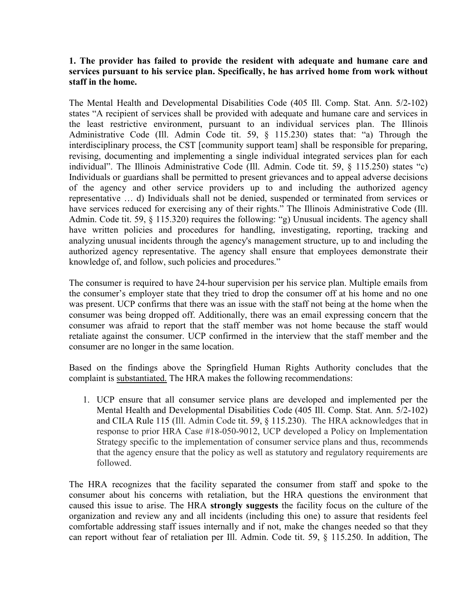### 1. The provider has failed to provide the resident with adequate and humane care and services pursuant to his service plan. Specifically, he has arrived home from work without staff in the home.

The Mental Health and Developmental Disabilities Code (405 Ill. Comp. Stat. Ann. 5/2-102) states "A recipient of services shall be provided with adequate and humane care and services in the least restrictive environment, pursuant to an individual services plan. The Illinois Administrative Code (Ill. Admin Code tit. 59, § 115.230) states that: "a) Through the interdisciplinary process, the CST [community support team] shall be responsible for preparing, revising, documenting and implementing a single individual integrated services plan for each individual". The Illinois Administrative Code (Ill. Admin. Code tit. 59, § 115.250) states "c) Individuals or guardians shall be permitted to present grievances and to appeal adverse decisions of the agency and other service providers up to and including the authorized agency representative … d) Individuals shall not be denied, suspended or terminated from services or have services reduced for exercising any of their rights." The Illinois Administrative Code (Ill. Admin. Code tit. 59, § 115.320) requires the following: "g) Unusual incidents. The agency shall have written policies and procedures for handling, investigating, reporting, tracking and analyzing unusual incidents through the agency's management structure, up to and including the authorized agency representative. The agency shall ensure that employees demonstrate their knowledge of, and follow, such policies and procedures."

The consumer is required to have 24-hour supervision per his service plan. Multiple emails from the consumer's employer state that they tried to drop the consumer off at his home and no one was present. UCP confirms that there was an issue with the staff not being at the home when the consumer was being dropped off. Additionally, there was an email expressing concern that the consumer was afraid to report that the staff member was not home because the staff would retaliate against the consumer. UCP confirmed in the interview that the staff member and the consumer are no longer in the same location.

Based on the findings above the Springfield Human Rights Authority concludes that the complaint is substantiated. The HRA makes the following recommendations:

1. UCP ensure that all consumer service plans are developed and implemented per the Mental Health and Developmental Disabilities Code (405 Ill. Comp. Stat. Ann. 5/2-102) and CILA Rule 115 (Ill. Admin Code tit. 59, § 115.230). The HRA acknowledges that in response to prior HRA Case #18-050-9012, UCP developed a Policy on Implementation Strategy specific to the implementation of consumer service plans and thus, recommends that the agency ensure that the policy as well as statutory and regulatory requirements are followed.

The HRA recognizes that the facility separated the consumer from staff and spoke to the consumer about his concerns with retaliation, but the HRA questions the environment that caused this issue to arise. The HRA strongly suggests the facility focus on the culture of the organization and review any and all incidents (including this one) to assure that residents feel comfortable addressing staff issues internally and if not, make the changes needed so that they can report without fear of retaliation per Ill. Admin. Code tit. 59, § 115.250. In addition, The